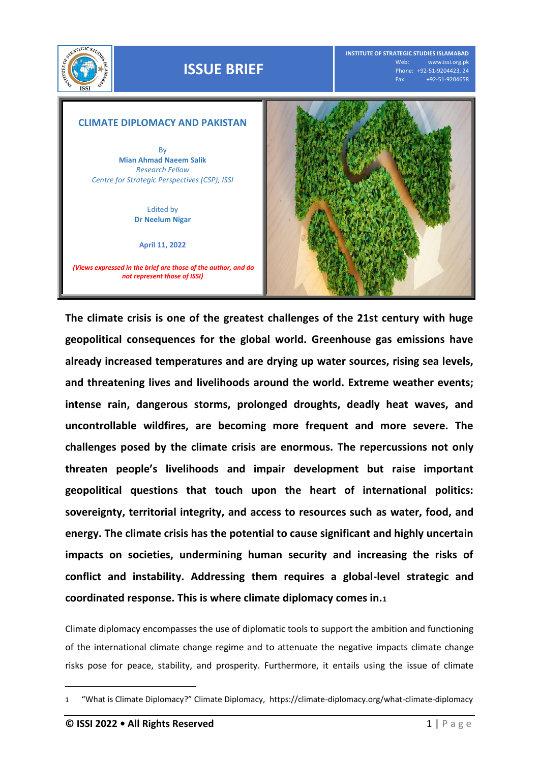

## **ISSUE BRIEF**

**INSTITUTE OF STRATEGIC STUDIES ISLAMABAD** www.issi.org.pk Phone: +92-51-9204423, 24<br>Fax: +92-51-9204658 Fax: +92-51-9204658



**The climate crisis is one of the greatest challenges of the 21st century with huge geopolitical consequences for the global world. Greenhouse gas emissions have already increased temperatures and are drying up water sources, rising sea levels, and threatening lives and livelihoods around the world. Extreme weather events; intense rain, dangerous storms, prolonged droughts, deadly heat waves, and uncontrollable wildfires, are becoming more frequent and more severe. The challenges posed by the climate crisis are enormous. The repercussions not only threaten people's livelihoods and impair development but raise important geopolitical questions that touch upon the heart of international politics: sovereignty, territorial integrity, and access to resources such as water, food, and energy. The climate crisis has the potential to cause significant and highly uncertain impacts on societies, undermining human security and increasing the risks of conflict and instability. Addressing them requires a global-level strategic and coordinated response. This is where climate diplomacy comes in.<sup>1</sup>**

Climate diplomacy encompasses the use of diplomatic tools to support the ambition and functioning of the international climate change regime and to attenuate the negative impacts climate change risks pose for peace, stability, and prosperity. Furthermore, it entails using the issue of climate

 $\overline{a}$ 

<sup>1</sup> "What is Climate Diplomacy?" Climate Diplomacy, <https://climate-diplomacy.org/what-climate-diplomacy>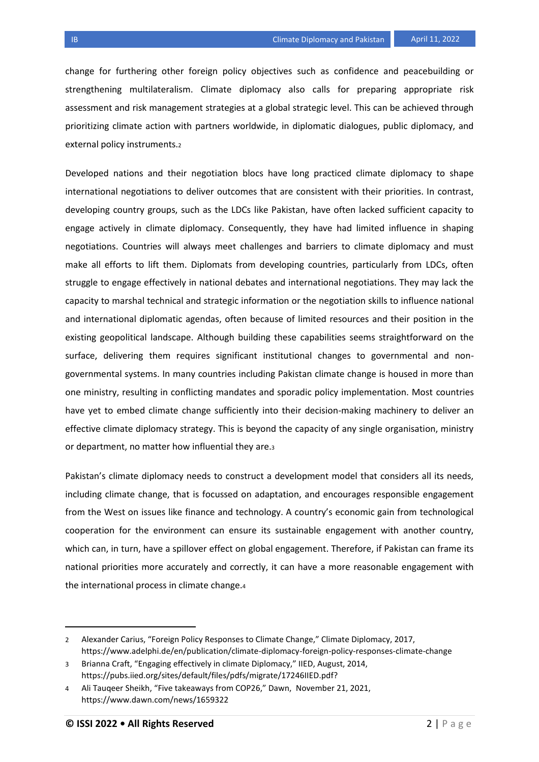change for furthering other foreign policy objectives such as confidence and peacebuilding or strengthening multilateralism. Climate diplomacy also calls for preparing appropriate risk assessment and risk management strategies at a global strategic level. This can be achieved through prioritizing climate action with partners worldwide, in diplomatic dialogues, public diplomacy, and external policy instruments.<sup>2</sup>

Developed nations and their negotiation blocs have long practiced climate diplomacy to shape international negotiations to deliver outcomes that are consistent with their priorities. In contrast, developing country groups, such as the LDCs like Pakistan, have often lacked sufficient capacity to engage actively in climate diplomacy. Consequently, they have had limited influence in shaping negotiations. Countries will always meet challenges and barriers to climate diplomacy and must make all efforts to lift them. Diplomats from developing countries, particularly from LDCs, often struggle to engage effectively in national debates and international negotiations. They may lack the capacity to marshal technical and strategic information or the negotiation skills to influence national and international diplomatic agendas, often because of limited resources and their position in the existing geopolitical landscape. Although building these capabilities seems straightforward on the surface, delivering them requires significant institutional changes to governmental and nongovernmental systems. In many countries including Pakistan climate change is housed in more than one ministry, resulting in conflicting mandates and sporadic policy implementation. Most countries have yet to embed climate change sufficiently into their decision-making machinery to deliver an effective climate diplomacy strategy. This is beyond the capacity of any single organisation, ministry or department, no matter how influential they are.<sup>3</sup>

Pakistan's climate diplomacy needs to construct a development model that considers all its needs, including climate change, that is focussed on adaptation, and encourages responsible engagement from the West on issues like finance and technology. A country's economic gain from technological cooperation for the environment can ensure its sustainable engagement with another country, which can, in turn, have a spillover effect on global engagement. Therefore, if Pakistan can frame its national priorities more accurately and correctly, it can have a more reasonable engagement with the international process in climate change.<sup>4</sup>

 $\overline{a}$ 

<sup>2</sup> Alexander Carius, "Foreign Policy Responses to Climate Change," Climate Diplomacy, 2017, <https://www.adelphi.de/en/publication/climate-diplomacy-foreign-policy-responses-climate-change>

<sup>3</sup> Brianna Craft, "Engaging effectively in climate Diplomacy," IIED, August, 2014, [https://pubs.iied.org/sites/default/files/pdfs/migrate/17246IIED.pdf?](https://pubs.iied.org/sites/default/files/pdfs/migrate/17246IIED.pdf)

<sup>4</sup> Ali Tauqeer Sheikh, "Five takeaways from COP26," Dawn, November 21, 2021, <https://www.dawn.com/news/1659322>